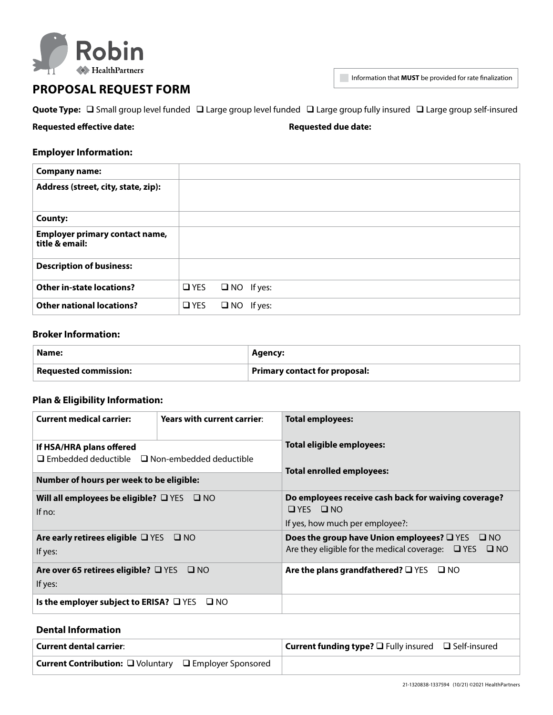

# **PROPOSAL REQUEST FORM**

Information that **MUST** be provided for rate finalization

|  |  | Quote Type: $\Box$ Small group level funded $\Box$ Large group level funded $\Box$ Large group fully insured $\Box$ Large group self-insured |  |  |
|--|--|----------------------------------------------------------------------------------------------------------------------------------------------|--|--|
|--|--|----------------------------------------------------------------------------------------------------------------------------------------------|--|--|

**Requested effective date: Requested due date:**

### **Employer Information:**

| <b>Company name:</b>                                    |               |                   |  |
|---------------------------------------------------------|---------------|-------------------|--|
| Address (street, city, state, zip):                     |               |                   |  |
| <b>County:</b>                                          |               |                   |  |
| <b>Employer primary contact name,</b><br>title & email: |               |                   |  |
| <b>Description of business:</b>                         |               |                   |  |
| <b>Other in-state locations?</b>                        | $\square$ YES | $\Box$ NO If yes: |  |
| <b>Other national locations?</b>                        | $\Box$ YES    | $\Box$ NO If yes: |  |

### **Broker Information:**

| Name:                        | Agency:                              |  |
|------------------------------|--------------------------------------|--|
| <b>Requested commission:</b> | <b>Primary contact for proposal:</b> |  |

# **Plan & Eligibility Information:**

| <b>Current medical carrier:</b>                                                       | Years with current carrier: | <b>Total employees:</b>                                                                                                                   |  |  |
|---------------------------------------------------------------------------------------|-----------------------------|-------------------------------------------------------------------------------------------------------------------------------------------|--|--|
| If HSA/HRA plans offered<br>$\Box$ Embedded deductible $\Box$ Non-embedded deductible |                             | Total eligible employees:<br>Total enrolled employees:                                                                                    |  |  |
| Number of hours per week to be eligible:                                              |                             |                                                                                                                                           |  |  |
| Will all employees be eligible? $\square$ YES $\square$ NO<br>If $no:$                |                             | Do employees receive cash back for waiving coverage?<br>$\Box$ YFS $\Box$ NO<br>If yes, how much per employee?:                           |  |  |
| Are early retirees eligible $\Box$ YES $\Box$ NO<br>If yes:                           |                             | Does the group have Union employees? $\square$ YES $\square$ NO<br>Are they eligible for the medical coverage: $\Box$ YES<br>$\square$ NO |  |  |
| Are over 65 retirees eligible? $\Box$ YES $\Box$ NO<br>If yes:                        |                             | Are the plans grandfathered? $\square$ YES<br>$\square$ NO                                                                                |  |  |
| Is the employer subject to ERISA? $\Box$ YES $\Box$ NO                                |                             |                                                                                                                                           |  |  |

## **Dental Information**

| <b>Current dental carrier:</b>                                | <b>Current funding type?</b> $\square$ Fully insured $\square$ Self-insured |
|---------------------------------------------------------------|-----------------------------------------------------------------------------|
| <b>Current Contribution:</b> □ Voluntary □ Employer Sponsored |                                                                             |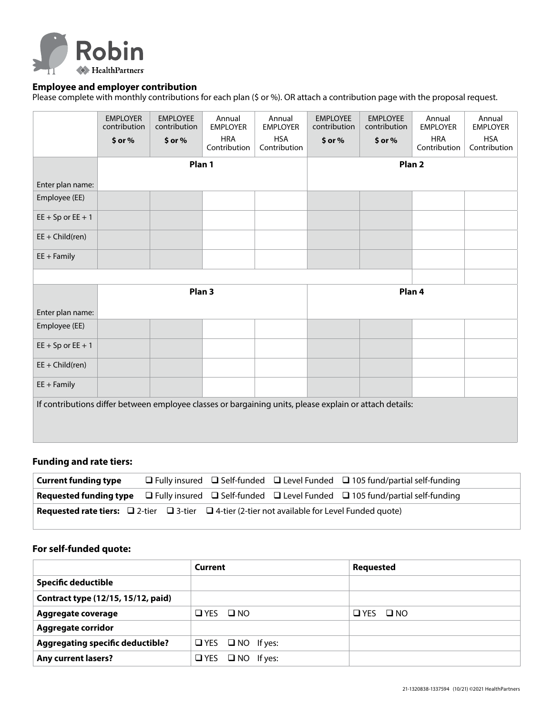

### **Employee and employer contribution**

Please complete with monthly contributions for each plan (\$ or %). OR attach a contribution page with the proposal request.

|                                                                                                         | <b>EMPLOYER</b><br>contribution | <b>EMPLOYEE</b><br>contribution | Annual<br><b>EMPLOYER</b>  | Annual<br><b>EMPLOYER</b>  | <b>EMPLOYEE</b><br>contribution | <b>EMPLOYEE</b><br>contribution | Annual<br><b>EMPLOYER</b>  | Annual<br><b>EMPLOYER</b>  |
|---------------------------------------------------------------------------------------------------------|---------------------------------|---------------------------------|----------------------------|----------------------------|---------------------------------|---------------------------------|----------------------------|----------------------------|
|                                                                                                         | $$$ or $%$                      | \$ or %                         | <b>HRA</b><br>Contribution | <b>HSA</b><br>Contribution | $$$ or $%$                      | $$$ or $%$                      | <b>HRA</b><br>Contribution | <b>HSA</b><br>Contribution |
|                                                                                                         |                                 | Plan 1                          |                            |                            | Plan <sub>2</sub>               |                                 |                            |                            |
| Enter plan name:                                                                                        |                                 |                                 |                            |                            |                                 |                                 |                            |                            |
| Employee (EE)                                                                                           |                                 |                                 |                            |                            |                                 |                                 |                            |                            |
| $EE + Sp$ or $EE + 1$                                                                                   |                                 |                                 |                            |                            |                                 |                                 |                            |                            |
| $EE + Child(ren)$                                                                                       |                                 |                                 |                            |                            |                                 |                                 |                            |                            |
| $EE + Family$                                                                                           |                                 |                                 |                            |                            |                                 |                                 |                            |                            |
|                                                                                                         |                                 |                                 |                            |                            |                                 |                                 |                            |                            |
|                                                                                                         |                                 | Plan <sub>3</sub>               |                            |                            | Plan 4                          |                                 |                            |                            |
| Enter plan name:                                                                                        |                                 |                                 |                            |                            |                                 |                                 |                            |                            |
| Employee (EE)                                                                                           |                                 |                                 |                            |                            |                                 |                                 |                            |                            |
| $EE + Sp$ or $EE + 1$                                                                                   |                                 |                                 |                            |                            |                                 |                                 |                            |                            |
| $EE + Child(ren)$                                                                                       |                                 |                                 |                            |                            |                                 |                                 |                            |                            |
| $EE + Family$                                                                                           |                                 |                                 |                            |                            |                                 |                                 |                            |                            |
| If contributions differ between employee classes or bargaining units, please explain or attach details: |                                 |                                 |                            |                            |                                 |                                 |                            |                            |
|                                                                                                         |                                 |                                 |                            |                            |                                 |                                 |                            |                            |

### **Funding and rate tiers:**

| <b>Current funding type</b>                                                                                                   |  | □ Fully insured □ Self-funded □ Level Funded □ 105 fund/partial self-funding                                                   |
|-------------------------------------------------------------------------------------------------------------------------------|--|--------------------------------------------------------------------------------------------------------------------------------|
|                                                                                                                               |  | <b>Requested funding type</b> $\Box$ Fully insured $\Box$ Self-funded $\Box$ Level Funded $\Box$ 105 fund/partial self-funding |
| <b>Requested rate tiers:</b> $\square$ 2-tier $\square$ 3-tier $\square$ 4-tier (2-tier not available for Level Funded quote) |  |                                                                                                                                |

### **For self-funded quote:**

|                                         | Current                      | <b>Requested</b>     |
|-----------------------------------------|------------------------------|----------------------|
| <b>Specific deductible</b>              |                              |                      |
| Contract type (12/15, 15/12, paid)      |                              |                      |
| Aggregate coverage                      | $\Box$ YES $\Box$ NO         | $\Box$ YES $\Box$ NO |
| <b>Aggregate corridor</b>               |                              |                      |
| <b>Aggregating specific deductible?</b> | $\Box$ YES $\Box$ NO If yes: |                      |
| <b>Any current lasers?</b>              | $\Box$ YES $\Box$ NO If yes: |                      |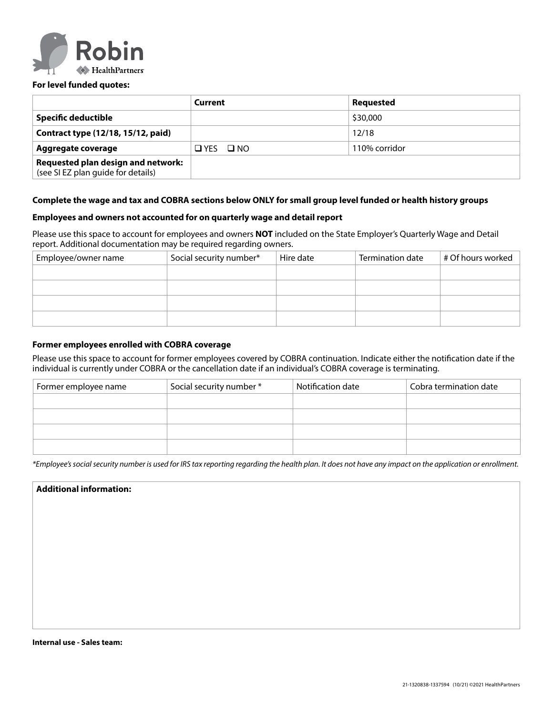

#### **For level funded quotes:**

|                                                                          | Current              | Requested     |
|--------------------------------------------------------------------------|----------------------|---------------|
| Specific deductible                                                      |                      | \$30,000      |
| Contract type (12/18, 15/12, paid)                                       |                      | 12/18         |
| Aggregate coverage                                                       | $\Box$ YES $\Box$ NO | 110% corridor |
| Requested plan design and network:<br>(see SI EZ plan guide for details) |                      |               |

#### **Complete the wage and tax and COBRA sections below ONLY for small group level funded or health history groups**

#### **Employees and owners not accounted for on quarterly wage and detail report**

Please use this space to account for employees and owners **NOT** included on the State Employer's Quarterly Wage and Detail report. Additional documentation may be required regarding owners.

| Employee/owner name | Social security number* | Hire date | Termination date | # Of hours worked |
|---------------------|-------------------------|-----------|------------------|-------------------|
|                     |                         |           |                  |                   |
|                     |                         |           |                  |                   |
|                     |                         |           |                  |                   |
|                     |                         |           |                  |                   |
|                     |                         |           |                  |                   |

#### **Former employees enrolled with COBRA coverage**

Please use this space to account for former employees covered by COBRA continuation. Indicate either the notification date if the individual is currently under COBRA or the cancellation date if an individual's COBRA coverage is terminating.

| Former employee name | Social security number * | Notification date | Cobra termination date |
|----------------------|--------------------------|-------------------|------------------------|
|                      |                          |                   |                        |
|                      |                          |                   |                        |
|                      |                          |                   |                        |
|                      |                          |                   |                        |

*\*Employee's social security number is used for IRS tax reporting regarding the health plan. It does not have any impact on the application or enrollment.*

#### **Additional information:**